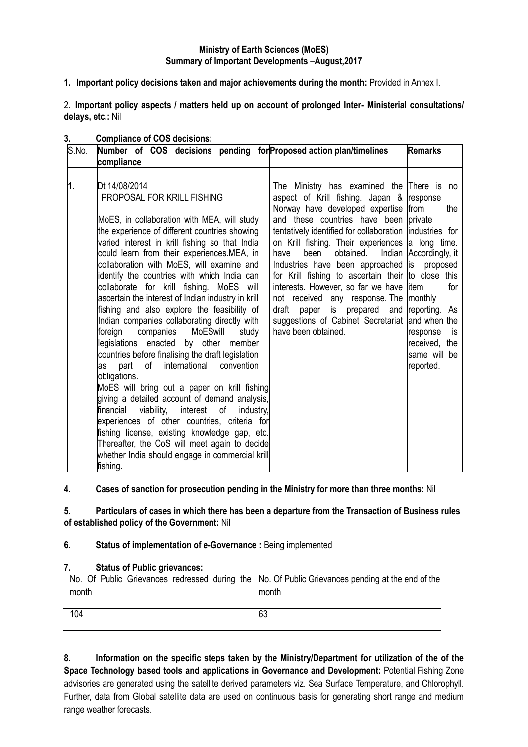### **Ministry of Earth Sciences (MoES) Summary of Important Developments** –**August,2017**

**1. Important policy decisions taken and major achievements during the month:** Provided in Annex I.

2. **Important policy aspects / matters held up on account of prolonged Inter- Ministerial consultations/ delays, etc.:** Nil

| S.No. | Number of COS decisions pending for Proposed action plan/timelines<br>compliance                                                                                                                                                                                                                                                                                                                                                                                                                                                                                                                                              | <b>Remarks</b>                                                                                                                                                                                                                                                                                                                                                                                                                                                                                                                                                                                                                           |                                                                                         |
|-------|-------------------------------------------------------------------------------------------------------------------------------------------------------------------------------------------------------------------------------------------------------------------------------------------------------------------------------------------------------------------------------------------------------------------------------------------------------------------------------------------------------------------------------------------------------------------------------------------------------------------------------|------------------------------------------------------------------------------------------------------------------------------------------------------------------------------------------------------------------------------------------------------------------------------------------------------------------------------------------------------------------------------------------------------------------------------------------------------------------------------------------------------------------------------------------------------------------------------------------------------------------------------------------|-----------------------------------------------------------------------------------------|
|       |                                                                                                                                                                                                                                                                                                                                                                                                                                                                                                                                                                                                                               |                                                                                                                                                                                                                                                                                                                                                                                                                                                                                                                                                                                                                                          |                                                                                         |
| 1.    | Dt 14/08/2014<br>PROPOSAL FOR KRILL FISHING<br>MoES, in collaboration with MEA, will study<br>the experience of different countries showing<br>varied interest in krill fishing so that India<br>could learn from their experiences.MEA, in<br>collaboration with MoES, will examine and<br>identify the countries with which India can<br>collaborate for krill fishing. MoES will<br>ascertain the interest of Indian industry in krill<br>fishing and also explore the feasibility of<br>Indian companies collaborating directly with<br>foreign<br>companies<br>MoESwill<br>study<br>legislations enacted by other member | The Ministry has examined the There is no<br>aspect of Krill fishing. Japan & response<br>Norway have developed expertise from<br>and these countries have been private<br>tentatively identified for collaboration industries for<br>on Krill fishing. Their experiences a long time.<br>obtained.<br>have<br>been<br>Industries have been approached is proposed<br>for Krill fishing to ascertain their to close this<br>interests. However, so far we have litem<br>not received any response. The monthly<br>paper is prepared and reporting. As<br>draft<br>suggestions of Cabinet Secretariat and when the<br>have been obtained. | the<br>Indian Accordingly, it<br>for<br>response<br>is<br>received, the<br>same will be |
|       | countries before finalising the draft legislation<br>international<br>part<br>of<br>convention<br>as<br>obligations.<br>MoES will bring out a paper on krill fishing<br>giving a detailed account of demand analysis,<br>viability,<br>financial<br>interest<br>of<br>industry,<br>experiences of other countries, criteria for<br>fishing license, existing knowledge gap, etc.<br>Thereafter, the CoS will meet again to decide<br>whether India should engage in commercial krill<br>fishing.                                                                                                                              |                                                                                                                                                                                                                                                                                                                                                                                                                                                                                                                                                                                                                                          | reported.                                                                               |

#### **3. Compliance of COS decisions:**

## **4. Cases of sanction for prosecution pending in the Ministry for more than three months:** Nil

**5. Particulars of cases in which there has been a departure from the Transaction of Business rules of established policy of the Government:** Nil

#### **6. Status of implementation of e-Governance :** Being implemented

### **7. Status of Public grievances:**

| month | No. Of Public Grievances redressed during the No. Of Public Grievances pending at the end of the<br>month |
|-------|-----------------------------------------------------------------------------------------------------------|
| 104   | 63                                                                                                        |

**8. Information on the specific steps taken by the Ministry/Department for utilization of the of the Space Technology based tools and applications in Governance and Development:** Potential Fishing Zone advisories are generated using the satellite derived parameters viz. Sea Surface Temperature, and Chlorophyll. Further, data from Global satellite data are used on continuous basis for generating short range and medium range weather forecasts.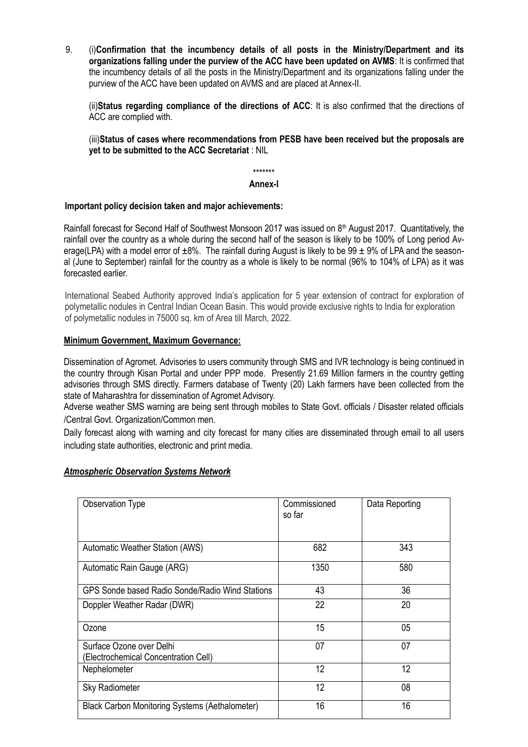9. (i)**Confirmation that the incumbency details of all posts in the Ministry/Department and its organizations falling under the purview of the ACC have been updated on AVMS**: It is confirmed that the incumbency details of all the posts in the Ministry/Department and its organizations falling under the purview of the ACC have been updated on AVMS and are placed at Annex-II.

(ii)**Status regarding compliance of the directions of ACC**: It is also confirmed that the directions of ACC are complied with.

(iii)**Status of cases where recommendations from PESB have been received but the proposals are yet to be submitted to the ACC Secretariat** : NIL

\*\*\*\*\*\*\*

### **Annex-I**

### **Important policy decision taken and major achievements:**

Rainfall forecast for Second Half of Southwest Monsoon 2017 was issued on 8th August 2017. Quantitatively, the rainfall over the country as a whole during the second half of the season is likely to be 100% of Long period Average(LPA) with a model error of  $\pm 8\%$ . The rainfall during August is likely to be 99  $\pm$  9% of LPA and the seasonal (June to September) rainfall for the country as a whole is likely to be normal (96% to 104% of LPA) as it was forecasted earlier.

International Seabed Authority approved India's application for 5 year extension of contract for exploration of polymetallic nodules in Central Indian Ocean Basin. This would provide exclusive rights to India for exploration of polymetallic nodules in 75000 sq. km of Area till March, 2022.

### **Minimum Government, Maximum Governance:**

Dissemination of Agromet. Advisories to users community through SMS and IVR technology is being continued in the country through Kisan Portal and under PPP mode. Presently 21.69 Million farmers in the country getting advisories through SMS directly. Farmers database of Twenty (20) Lakh farmers have been collected from the state of Maharashtra for dissemination of Agromet Advisory.

Adverse weather SMS warning are being sent through mobiles to State Govt. officials / Disaster related officials /Central Govt. Organization/Common men.

Daily forecast along with warning and city forecast for many cities are disseminated through email to all users including state authorities, electronic and print media.

#### *Atmospheric Observation Systems Network*

| Observation Type                                                 | Commissioned<br>so far | Data Reporting |
|------------------------------------------------------------------|------------------------|----------------|
| Automatic Weather Station (AWS)                                  | 682                    | 343            |
| Automatic Rain Gauge (ARG)                                       | 1350                   | 580            |
| GPS Sonde based Radio Sonde/Radio Wind Stations                  | 43                     | 36             |
| Doppler Weather Radar (DWR)                                      | 22                     | 20             |
| Ozone                                                            | 15                     | 05             |
| Surface Ozone over Delhi<br>(Electrochemical Concentration Cell) | 07                     | 07             |
| Nephelometer                                                     | 12                     | 12             |
| <b>Sky Radiometer</b>                                            | 12                     | 08             |
| <b>Black Carbon Monitoring Systems (Aethalometer)</b>            | 16                     | 16             |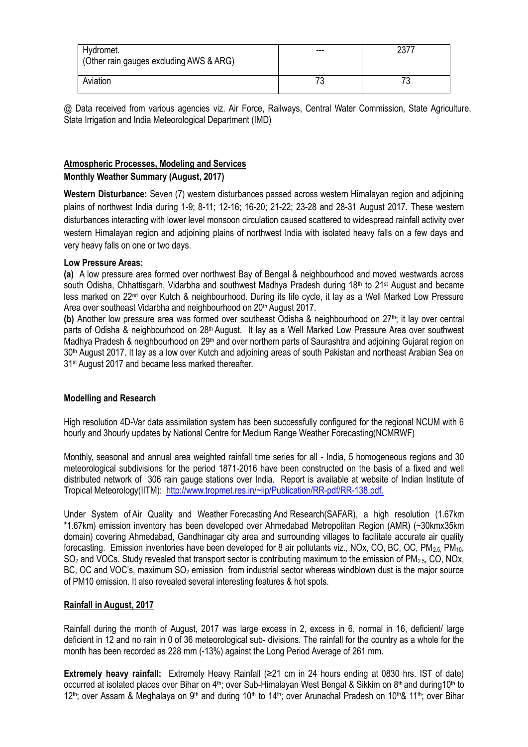| Hydromet.<br>(Other rain gauges excluding AWS & ARG) | --- | 721 ک |
|------------------------------------------------------|-----|-------|
| Aviation                                             |     |       |

@ Data received from various agencies viz. Air Force, Railways, Central Water Commission, State Agriculture, State Irrigation and India Meteorological Department (IMD)

## **Atmospheric Processes, Modeling and Services**

## **Monthly Weather Summary (August, 2017)**

**Western Disturbance:** Seven (7) western disturbances passed across western Himalayan region and adjoining plains of northwest India during 1-9; 8-11; 12-16; 16-20; 21-22; 23-28 and 28-31 August 2017. These western disturbances interacting with lower level monsoon circulation caused scattered to widespread rainfall activity over western Himalayan region and adjoining plains of northwest India with isolated heavy falls on a few days and very heavy falls on one or two days.

### **Low Pressure Areas:**

**(a)** A low pressure area formed over northwest Bay of Bengal & neighbourhood and moved westwards across south Odisha, Chhattisgarh, Vidarbha and southwest Madhya Pradesh during 18<sup>th</sup> to 21<sup>st</sup> August and became less marked on 22nd over Kutch & neighbourhood. During its life cycle, it lay as a Well Marked Low Pressure Area over southeast Vidarbha and neighbourhood on 20<sup>th</sup> August 2017.

(b) Another low pressure area was formed over southeast Odisha & neighbourhood on 27<sup>th</sup>; it lay over central parts of Odisha & neighbourhood on 28<sup>th</sup> August. It lay as a Well Marked Low Pressure Area over southwest Madhya Pradesh & neighbourhood on 29<sup>th</sup> and over northern parts of Saurashtra and adjoining Gujarat region on 30<sup>th</sup> August 2017. It lay as a low over Kutch and adjoining areas of south Pakistan and northeast Arabian Sea on 31st August 2017 and became less marked thereafter.

## **Modelling and Research**

High resolution 4D-Var data assimilation system has been successfully configured for the regional NCUM with 6 hourly and 3hourly updates by National Centre for Medium Range Weather Forecasting(NCMRWF)

Monthly, seasonal and annual area weighted rainfall time series for all - India, 5 homogeneous regions and 30 meteorological subdivisions for the period 1871-2016 have been constructed on the basis of a fixed and well distributed network of 306 rain gauge stations over India. Report is available at website of Indian Institute of Tropical Meteorology(IITM): [http://www.tropmet.res.in/~lip/Publication/RR-pdf/RR-138.pdf.](http://www.tropmet.res.in/~lip/Publication/RR-pdf/RR-138.pdf) 

Under System of Air Quality and Weather Forecasting And Research(SAFAR), a high resolution (1.67km \*1.67km) emission inventory has been developed over Ahmedabad Metropolitan Region (AMR) (~30kmx35km domain) covering Ahmedabad, Gandhinagar city area and surrounding villages to facilitate accurate air quality forecasting. Emission inventories have been developed for 8 air pollutants viz., NOx, CO, BC, OC, PM<sub>2.5,</sub> PM<sub>10</sub>,  $SO<sub>2</sub>$  and VOCs. Study revealed that transport sector is contributing maximum to the emission of PM<sub>2.5</sub>, CO, NOx, BC, OC and VOC's, maximum  $SO<sub>2</sub>$  emission from industrial sector whereas windblown dust is the major source of PM10 emission. It also revealed several interesting features & hot spots.

## **Rainfall in August, 2017**

Rainfall during the month of August, 2017 was large excess in 2, excess in 6, normal in 16, deficient/ large deficient in 12 and no rain in 0 of 36 meteorological sub- divisions. The rainfall for the country as a whole for the month has been recorded as 228 mm (-13%) against the Long Period Average of 261 mm.

**Extremely heavy rainfall:** Extremely Heavy Rainfall (≥21 cm in 24 hours ending at 0830 hrs. IST of date) occurred at isolated places over Bihar on 4<sup>th</sup>; over Sub-Himalayan West Bengal & Sikkim on 8<sup>th</sup> and during10<sup>th</sup> to 12<sup>th</sup>; over Assam & Meghalaya on 9<sup>th</sup> and during 10<sup>th</sup> to 14<sup>th</sup>; over Arunachal Pradesh on 10<sup>th</sup>& 11<sup>th</sup>; over Bihar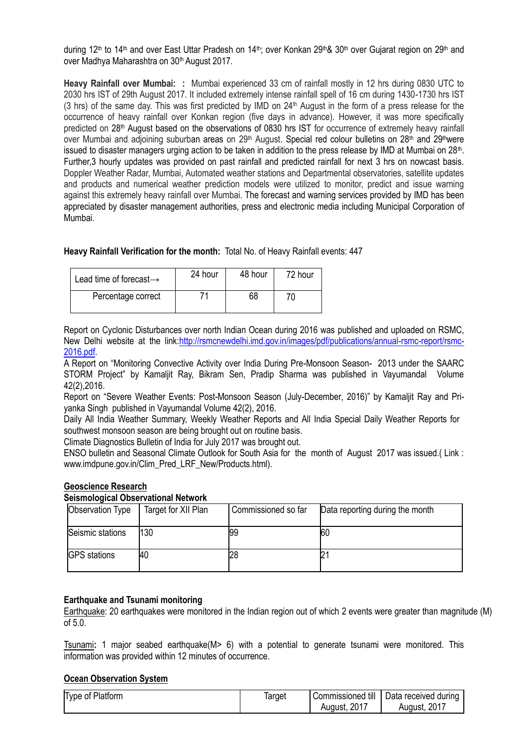during 12<sup>th</sup> to 14<sup>th</sup> and over East Uttar Pradesh on 14<sup>th</sup>; over Konkan 29<sup>th</sup>& 30<sup>th</sup> over Gujarat region on 29<sup>th</sup> and over Madhya Maharashtra on 30<sup>th</sup> August 2017.

**Heavy Rainfall over Mumbai: :** Mumbai experienced 33 cm of rainfall mostly in 12 hrs during 0830 UTC to 2030 hrs IST of 29th August 2017. It included extremely intense rainfall spell of 16 cm during 1430-1730 hrs IST (3 hrs) of the same day. This was first predicted by IMD on 24th August in the form of a press release for the occurrence of heavy rainfall over Konkan region (five days in advance). However, it was more specifically predicted on 28<sup>th</sup> August based on the observations of 0830 hrs IST for occurrence of extremely heavy rainfall over Mumbai and adjoining suburban areas on 29<sup>th</sup> August. Special red colour bulletins on 28<sup>th</sup> and 29<sup>th</sup>were issued to disaster managers urging action to be taken in addition to the press release by IMD at Mumbai on 28<sup>th</sup>. Further,3 hourly updates was provided on past rainfall and predicted rainfall for next 3 hrs on nowcast basis. Doppler Weather Radar, Mumbai, Automated weather stations and Departmental observatories, satellite updates and products and numerical weather prediction models were utilized to monitor, predict and issue warning against this extremely heavy rainfall over Mumbai. The forecast and warning services provided by IMD has been appreciated by disaster management authorities, press and electronic media including Municipal Corporation of Mumbai.

**Heavy Rainfall Verification for the month:** Total No. of Heavy Rainfall events: 447

| Lead time of forecast $\rightarrow$ | 24 hour | 48 hour | 72 hour |
|-------------------------------------|---------|---------|---------|
| Percentage correct                  | 71      | 68      |         |

Report on Cyclonic Disturbances over north Indian Ocean during 2016 was published and uploaded on RSMC, New Delhi website at the link[:http://rsmcnewdelhi.imd.gov.in/images/pdf/publications/annual-rsmc-report/rsmc-](http://rsmcnewdelhi.imd.gov.in/images/pdf/publications/annual-rsmc-report/rsmc-2016.pdf)[2016.pdf.](http://rsmcnewdelhi.imd.gov.in/images/pdf/publications/annual-rsmc-report/rsmc-2016.pdf)

A Report on "Monitoring Convective Activity over India During Pre-Monsoon Season- 2013 under the SAARC STORM Project" by Kamaljit Ray, Bikram Sen, Pradip Sharma was published in Vayumandal Volume 42(2),2016.

Report on "Severe Weather Events: Post-Monsoon Season (July-December, 2016)" by Kamaljit Ray and Priyanka Singh published in Vayumandal Volume 42(2), 2016.

Daily All India Weather Summary, Weekly Weather Reports and All India Special Daily Weather Reports for southwest monsoon season are being brought out on routine basis.

Climate Diagnostics Bulletin of India for July 2017 was brought out.

ENSO bulletin and Seasonal Climate Outlook for South Asia for the month of August 2017 was issued.( Link : [www.imdpune.gov.in/Clim\\_Pred\\_LRF\\_New/Products.html\)](http://www.imdpune.gov.in/Clim_Pred_LRF_New/Products.html).

#### **Geoscience Research**

#### **Seismological Observational Network**

| <b>Observation Type</b> | Target for XII Plan | Commissioned so far | Data reporting during the month |
|-------------------------|---------------------|---------------------|---------------------------------|
| Seismic stations        | 130                 | 99                  | 60                              |
| <b>GPS</b> stations     | 40                  | 28                  |                                 |

#### **Earthquake and Tsunami monitoring**

Earthquake: 20 earthquakes were monitored in the Indian region out of which 2 events were greater than magnitude (M) of 5.0.

Tsunami**:** 1 major seabed earthquake(M> 6) with a potential to generate tsunami were monitored. This information was provided within 12 minutes of occurrence.

#### **Ocean Observation System**

| I vpe of Platform | larget | till<br>Commissioned | Data received during |
|-------------------|--------|----------------------|----------------------|
|                   |        | 2017<br>August.      | 2017<br>Auaust.      |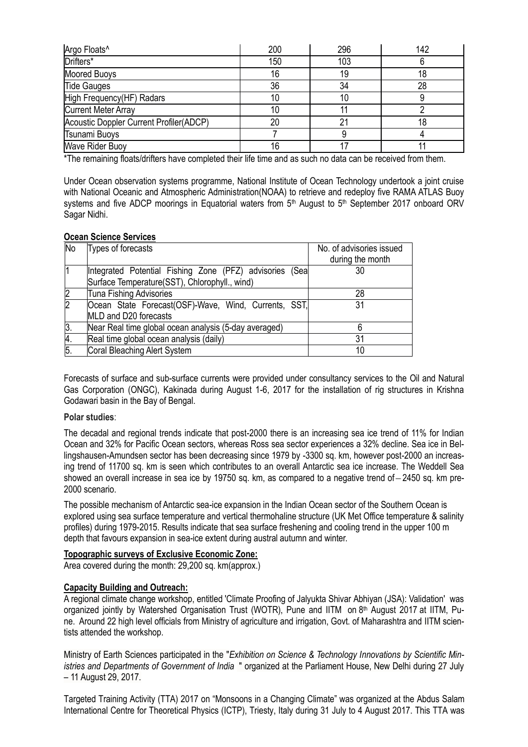| Argo Floats <sup>^</sup>                | 200 | 296 | 142 |
|-----------------------------------------|-----|-----|-----|
| Drifters*                               | 150 | 103 |     |
| <b>Moored Buoys</b>                     | 16  | 19  |     |
| <b>Tide Gauges</b>                      | 36  | 34  | 28  |
| High Frequency(HF) Radars               |     | 10  |     |
| <b>Current Meter Array</b>              |     |     |     |
| Acoustic Doppler Current Profiler(ADCP) | 20  | 2٠  |     |
| Tsunami Buoys                           |     |     |     |
| <b>Wave Rider Buoy</b>                  | 16  |     |     |

\*The remaining floats/drifters have completed their life time and as such no data can be received from them.

Under Ocean observation systems programme, National Institute of Ocean Technology undertook a joint cruise with National Oceanic and Atmospheric Administration(NOAA) to retrieve and redeploy five RAMA ATLAS Buoy systems and five ADCP moorings in Equatorial waters from 5<sup>th</sup> August to 5<sup>th</sup> September 2017 onboard ORV Sagar Nidhi.

#### **Ocean Science Services**

| <b>No</b>      | Types of forecasts                                      | No. of advisories issued<br>during the month |
|----------------|---------------------------------------------------------|----------------------------------------------|
|                | Integrated Potential Fishing Zone (PFZ) advisories (Sea | 30                                           |
|                | Surface Temperature(SST), Chlorophyll., wind)           |                                              |
|                | Tuna Fishing Advisories                                 | 28                                           |
| $\overline{2}$ | Ocean State Forecast(OSF)-Wave, Wind, Currents, SST,    | 31                                           |
|                | MLD and D20 forecasts                                   |                                              |
| 3.             | Near Real time global ocean analysis (5-day averaged)   |                                              |
| 4.             | Real time global ocean analysis (daily)                 | 31                                           |
| 5.             | Coral Bleaching Alert System                            | 10                                           |

Forecasts of surface and sub-surface currents were provided under consultancy services to the Oil and Natural Gas Corporation (ONGC), Kakinada during August 1-6, 2017 for the installation of rig structures in Krishna Godawari basin in the Bay of Bengal.

#### **Polar studies**:

The decadal and regional trends indicate that post-2000 there is an increasing sea ice trend of 11% for Indian Ocean and 32% for Pacific Ocean sectors, whereas Ross sea sector experiences a 32% decline. Sea ice in Bellingshausen-Amundsen sector has been decreasing since 1979 by -3300 sq. km, however post-2000 an increasing trend of 11700 sq. km is seen which contributes to an overall Antarctic sea ice increase. The Weddell Sea showed an overall increase in sea ice by 19750 sq. km, as compared to a negative trend of – 2450 sq. km pre-2000 scenario.

The possible mechanism of Antarctic sea-ice expansion in the Indian Ocean sector of the Southern Ocean is explored using sea surface temperature and vertical thermohaline structure (UK Met Office temperature & salinity profiles) during 1979-2015. Results indicate that sea surface freshening and cooling trend in the upper 100 m depth that favours expansion in sea-ice extent during austral autumn and winter.

#### **Topographic surveys of Exclusive Economic Zone:**

Area covered during the month: 29,200 sq. km(approx.)

## **Capacity Building and Outreach:**

A regional climate change workshop, entitled 'Climate Proofing of Jalyukta Shivar Abhiyan (JSA): Validation' was organized jointly by Watershed Organisation Trust (WOTR), Pune and IITM on 8<sup>th</sup> August 2017 at IITM, Pune. Around 22 high level officials from Ministry of agriculture and irrigation, Govt. of Maharashtra and IITM scientists attended the workshop.

Ministry of Earth Sciences participated in the "*Exhibition on Science & Technology Innovations by Scientific Ministries and Departments of Government of India* " organized at the Parliament House, New Delhi during 27 July – 11 August 29, 2017.

Targeted Training Activity (TTA) 2017 on "Monsoons in a Changing Climate" was organized at the Abdus Salam International Centre for Theoretical Physics (ICTP), Triesty, Italy during 31 July to 4 August 2017. This TTA was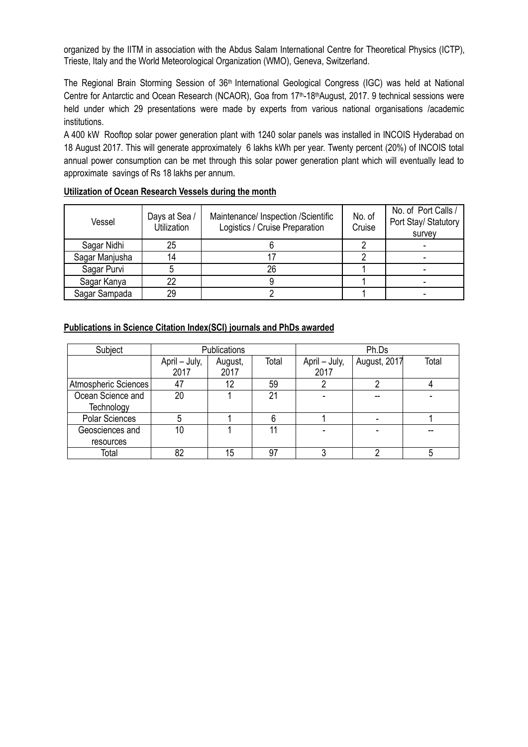organized by the IITM in association with the Abdus Salam International Centre for Theoretical Physics (ICTP), Trieste, Italy and the World Meteorological Organization (WMO), Geneva, Switzerland.

The Regional Brain Storming Session of 36<sup>th</sup> International Geological Congress (IGC) was held at National Centre for Antarctic and Ocean Research (NCAOR), Goa from 17<sup>th</sup>-18<sup>th</sup>August, 2017. 9 technical sessions were held under which 29 presentations were made by experts from various national organisations /academic institutions.

A 400 kW Rooftop solar power generation plant with 1240 solar panels was installed in INCOIS Hyderabad on 18 August 2017. This will generate approximately 6 lakhs kWh per year. Twenty percent (20%) of INCOIS total annual power consumption can be met through this solar power generation plant which will eventually lead to approximate savings of Rs 18 lakhs per annum.

| Vessel         | Days at Sea /<br>Utilization | Maintenance/ Inspection /Scientific<br>Logistics / Cruise Preparation | No. of<br>Cruise | No. of Port Calls /<br>Port Stay/ Statutory<br>survey |
|----------------|------------------------------|-----------------------------------------------------------------------|------------------|-------------------------------------------------------|
| Sagar Nidhi    | 25                           |                                                                       |                  |                                                       |
| Sagar Manjusha | 14                           |                                                                       |                  |                                                       |
| Sagar Purvi    |                              | 26                                                                    |                  |                                                       |
| Sagar Kanya    | 22                           |                                                                       |                  |                                                       |
| Sagar Sampada  | 29                           |                                                                       |                  |                                                       |

# **Utilization of Ocean Research Vessels during the month**

# **Publications in Science Citation Index(SCI) journals and PhDs awarded**

| Subject                         |                       | <b>Publications</b> |       | Ph.Ds                 |              |       |
|---------------------------------|-----------------------|---------------------|-------|-----------------------|--------------|-------|
|                                 | April – July,<br>2017 | August,<br>2017     | Total | April – July,<br>2017 | August, 2017 | Total |
| Atmospheric Sciences            | 47                    | 12                  | 59    |                       |              |       |
| Ocean Science and<br>Technology | 20                    |                     | 21    |                       |              |       |
| <b>Polar Sciences</b>           |                       |                     |       |                       |              |       |
| Geosciences and<br>resources    | 10                    |                     | 11    |                       |              |       |
| Total                           | 82                    | 15                  | 97    |                       |              |       |